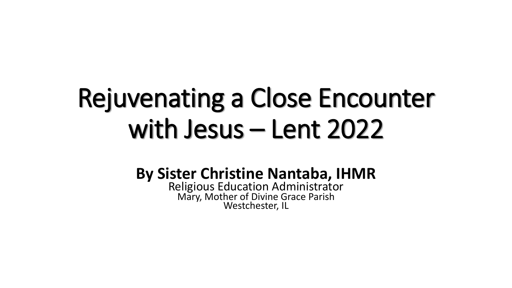# Rejuvenating a Close Encounter with Jesus – Lent 2022

#### **By Sister Christine Nantaba, IHMR**

Religious Education Administrator Mary, Mother of Divine Grace Parish Westchester, IL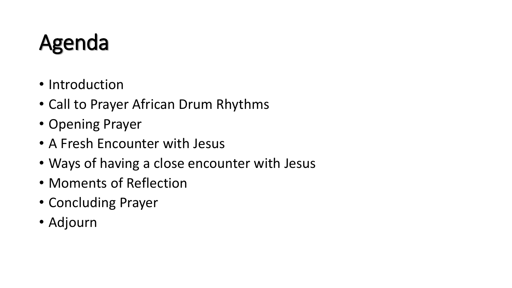### Agenda

- Introduction
- Call to Prayer African Drum Rhythms
- Opening Prayer
- A Fresh Encounter with Jesus
- Ways of having a close encounter with Jesus
- Moments of Reflection
- Concluding Prayer
- Adjourn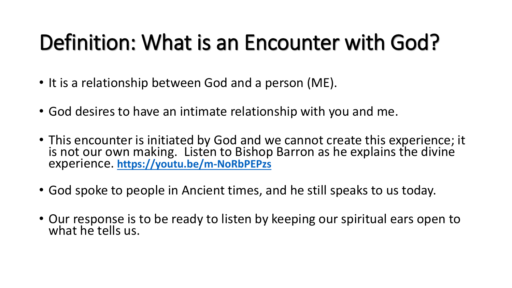## Definition: What is an Encounter with God?

- It is a relationship between God and a person (ME).
- God desires to have an intimate relationship with you and me.
- This encounter is initiated by God and we cannot create this experience; it is not our own making. Listen to Bishop Barron as he explains the divine experience. **<https://youtu.be/m-NoRbPEPzs>**
- God spoke to people in Ancient times, and he still speaks to us today.
- Our response is to be ready to listen by keeping our spiritual ears open to what he tells us.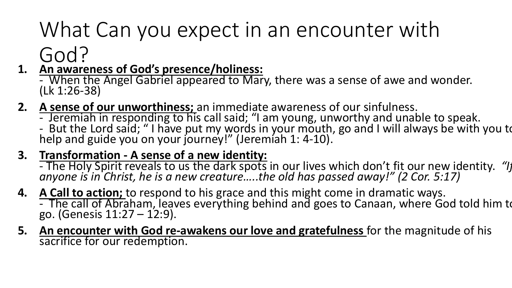## What Can you expect in an encounter with

#### God?

- **1. An awareness of God's presence/holiness:**
	- When the Angel Gabriel appeared to Mary, there was a sense of awe and wonder. (Lk 1:26-38)
- **2. A sense of our unworthiness;** an immediate awareness of our sinfulness.
	- Jeremiah in responding to his call said; "I am young, unworthy and unable to speak.
	- But the Lord said; "I have put my words in your mouth, go and I will always be with you to help and guide you on your journey!" (Jeremiah 1: 4-10).

#### **3. Transformation - A sense of a new identity:**

- The Holy Spirit reveals to us the dark spots in our lives which don't fit our new identity. *"If anyone is in Christ, he is a new creature…..the old has passed away!" (2 Cor. 5:17)*

- **4. A Call to action;** to respond to his grace and this might come in dramatic ways. - The call of Abraham, leaves everything behind and goes to Canaan, where God told him to go. (Genesis  $11:27 - 12:9$ ).
- **5. An encounter with God re-awakens our love and gratefulness** for the magnitude of his sacrifice for our redemption.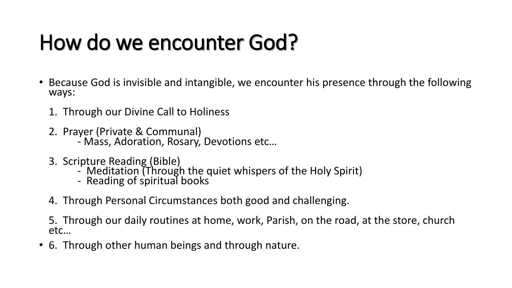#### How do we encounter God?

- Because God is invisible and intangible, we encounter his presence through the following ways:
	- 1. Through our Divine Call to Holiness
	- 2. Prayer (Private & Communal)
		- Mass, Adoration, Rosary, Devotions etc…
	- 3. Scripture Reading (Bible)
		- Meditation (Through the quiet whispers of the Holy Spirit)
		- Reading of spiritual books
	- 4. Through Personal Circumstances both good and challenging.
	- 5. Through our daily routines at home, work, Parish, on the road, at the store, church etc…
- 6. Through other human beings and through nature.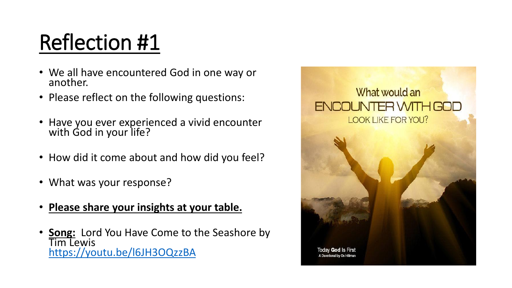#### Reflection #1

- We all have encountered God in one way or another.
- Please reflect on the following questions:
- Have you ever experienced a vivid encounter with God in your life?
- How did it come about and how did you feel?
- What was your response?
- **Please share your insights at your table.**
- **Song:** Lord You Have Come to the Seashore by Tim Lewis <https://youtu.be/l6JH3OQzzBA>

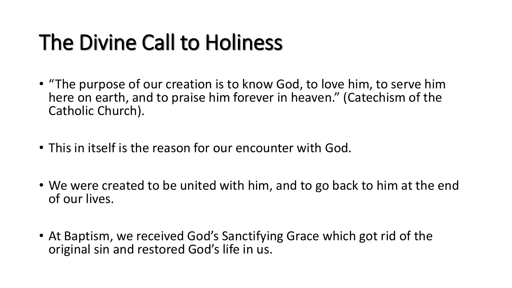### The Divine Call to Holiness

- "The purpose of our creation is to know God, to love him, to serve him here on earth, and to praise him forever in heaven." (Catechism of the Catholic Church).
- This in itself is the reason for our encounter with God.
- We were created to be united with him, and to go back to him at the end of our lives.
- At Baptism, we received God's Sanctifying Grace which got rid of the original sin and restored God's life in us.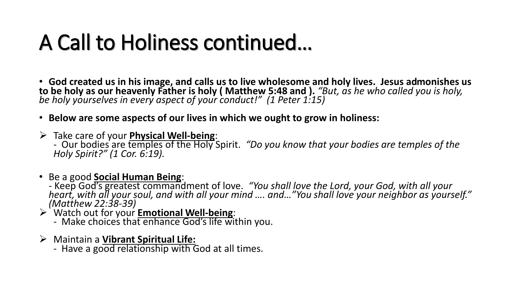#### A Call to Holiness continued…

• **God created us in his image, and calls us to live wholesome and holy lives. Jesus admonishes us to be holy as our heavenly Father is holy ( Matthew 5:48 and ).** *"But, as he who called you is holy, be holy yourselves in every aspect of your conduct!" (1 Peter 1:15)*

- **Below are some aspects of our lives in which we ought to grow in holiness:**
- ➢ Take care of your **Physical Well-being**:

- Our bodies are temples of the Holy Spirit. *"Do you know that your bodies are temples of the Holy Spirit?" (1 Cor. 6:19).*

- Be a good **Social Human Being**:
	- Keep God's greatest commandment of love. *"You shall love the Lord, your God, with all your heart, with all your soul, and with all your mind …. and…"You shall love your neighbor as yourself." (Matthew 22:38-39)*
- ➢ Watch out for your **Emotional Well-being**:
	- Make choices that enhance God's life within you.
- ➢ Maintain a **Vibrant Spiritual Life:** 
	- Have a good relationship with God at all times.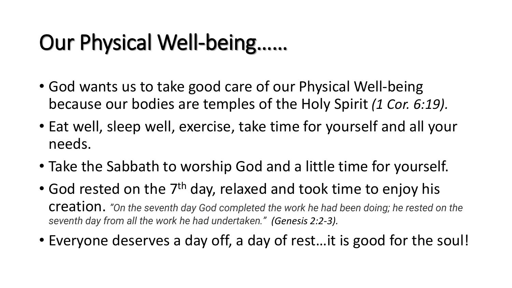### Our Physical Well-being……

- God wants us to take good care of our Physical Well-being because our bodies are temples of the Holy Spirit *(1 Cor. 6:19).*
- Eat well, sleep well, exercise, take time for yourself and all your needs.
- Take the Sabbath to worship God and a little time for yourself.
- God rested on the  $7<sup>th</sup>$  day, relaxed and took time to enjoy his creation. *"On the seventh day God completed the work he had been doing; he rested on the seventh day from all the work he had undertaken." (Genesis 2:2-3).*
- Everyone deserves a day off, a day of rest…it is good for the soul!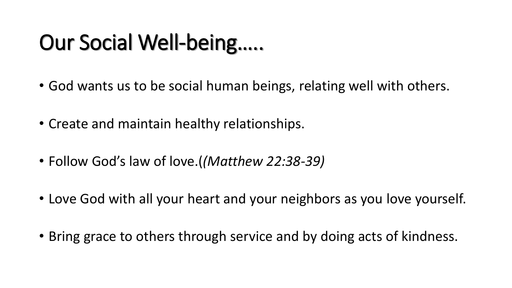## Our Social Well-being…..

- God wants us to be social human beings, relating well with others.
- Create and maintain healthy relationships.
- Follow God's law of love.(*(Matthew 22:38-39)*
- Love God with all your heart and your neighbors as you love yourself.
- Bring grace to others through service and by doing acts of kindness.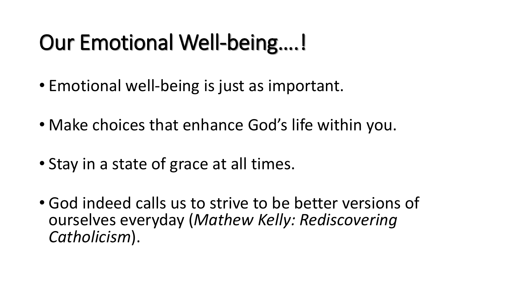### Our Emotional Well-being….!

- Emotional well-being is just as important.
- Make choices that enhance God's life within you.
- Stay in a state of grace at all times.
- God indeed calls us to strive to be better versions of ourselves everyday (*Mathew Kelly: Rediscovering Catholicism*).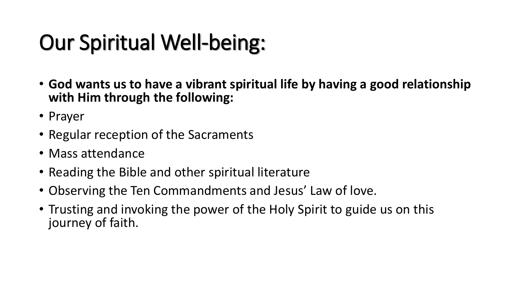## Our Spiritual Well-being:

- **God wants us to have a vibrant spiritual life by having a good relationship with Him through the following:**
- Prayer
- Regular reception of the Sacraments
- Mass attendance
- Reading the Bible and other spiritual literature
- Observing the Ten Commandments and Jesus' Law of love.
- Trusting and invoking the power of the Holy Spirit to guide us on this journey of faith.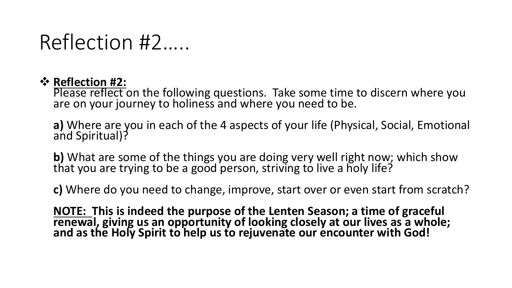#### Reflection #2…..

#### ❖ **Reflection #2:**

Please reflect on the following questions. Take some time to discern where you are on your journey to holiness and where you need to be.

**a)** Where are you in each of the 4 aspects of your life (Physical, Social, Emotional and Spiritual)?

**b)** What are some of the things you are doing very well right now; which show that you are trying to be a good person, striving to live a holy life?

**c)** Where do you need to change, improve, start over or even start from scratch?

**NOTE: This is indeed the purpose of the Lenten Season; a time of graceful renewal, giving us an opportunity of looking closely at our lives as a whole; and as the Holy Spirit to help us to rejuvenate our encounter with God!**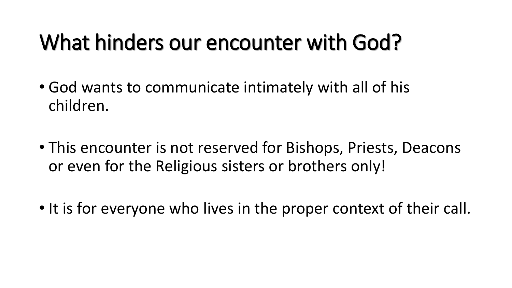#### What hinders our encounter with God?

- God wants to communicate intimately with all of his children.
- This encounter is not reserved for Bishops, Priests, Deacons or even for the Religious sisters or brothers only!
- It is for everyone who lives in the proper context of their call.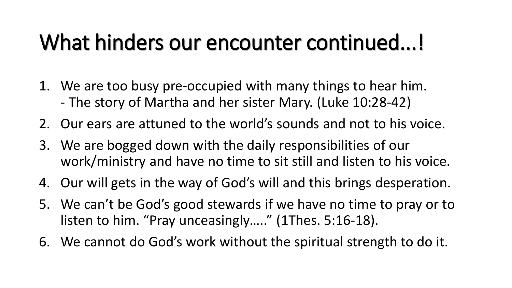#### What hinders our encounter continued...!

- 1. We are too busy pre-occupied with many things to hear him. - The story of Martha and her sister Mary. (Luke 10:28-42)
- 2. Our ears are attuned to the world's sounds and not to his voice.
- 3. We are bogged down with the daily responsibilities of our work/ministry and have no time to sit still and listen to his voice.
- 4. Our will gets in the way of God's will and this brings desperation.
- 5. We can't be God's good stewards if we have no time to pray or to listen to him. "Pray unceasingly….." (1Thes. 5:16-18).
- 6. We cannot do God's work without the spiritual strength to do it.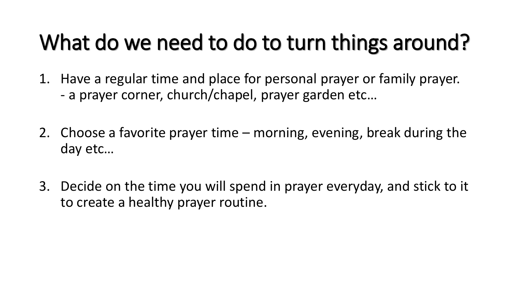### What do we need to do to turn things around?

- 1. Have a regular time and place for personal prayer or family prayer. - a prayer corner, church/chapel, prayer garden etc…
- 2. Choose a favorite prayer time morning, evening, break during the day etc…
- 3. Decide on the time you will spend in prayer everyday, and stick to it to create a healthy prayer routine.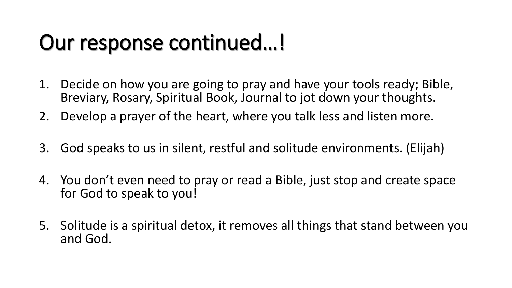#### Our response continued…!

- 1. Decide on how you are going to pray and have your tools ready; Bible, Breviary, Rosary, Spiritual Book, Journal to jot down your thoughts.
- 2. Develop a prayer of the heart, where you talk less and listen more.
- 3. God speaks to us in silent, restful and solitude environments. (Elijah)
- 4. You don't even need to pray or read a Bible, just stop and create space for God to speak to you!
- 5. Solitude is a spiritual detox, it removes all things that stand between you and God.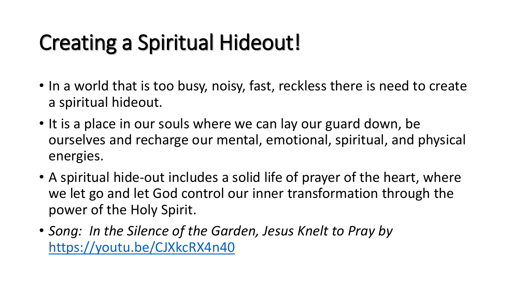### Creating a Spiritual Hideout!

- In a world that is too busy, noisy, fast, reckless there is need to create a spiritual hideout.
- It is a place in our souls where we can lay our guard down, be ourselves and recharge our mental, emotional, spiritual, and physical energies.
- A spiritual hide-out includes a solid life of prayer of the heart, where we let go and let God control our inner transformation through the power of the Holy Spirit.
- *Song: In the Silence of the Garden, Jesus Knelt to Pray by*  <https://youtu.be/CJXkcRX4n40>